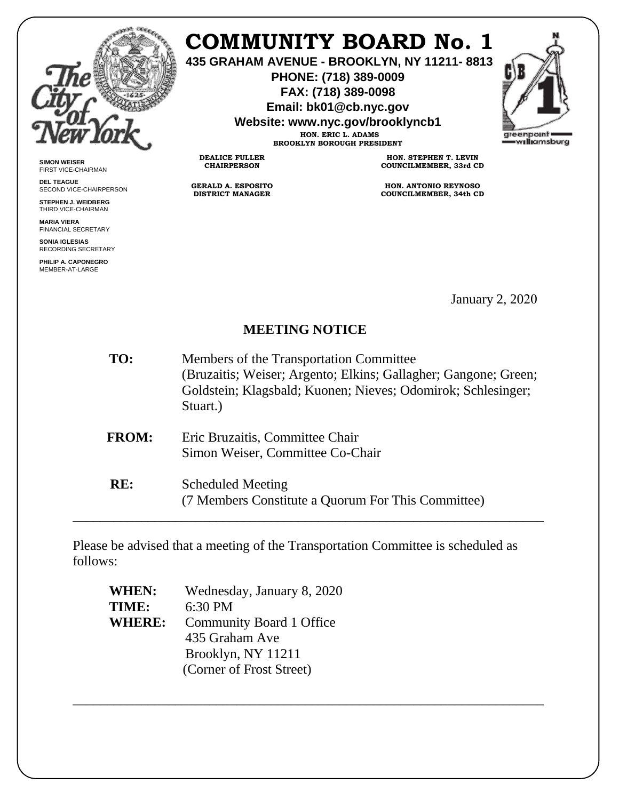

# **COMMUNITY BOARD No. 1**

**435 GRAHAM AVENUE - BROOKLYN, NY 11211- 8813**

**PHONE: (718) 389-0009 FAX: (718) 389-0098**

**Email: bk01@cb.nyc.gov**

**Website: www.nyc.gov/brooklyncb1**

**HON. ERIC L. ADAMS BROOKLYN BOROUGH PRESIDENT**

**DEALICE FULLER CHAIRPERSON**

**GERALD A. ESPOSITO DISTRICT MANAGER**

**HON. STEPHEN T. LEVIN COUNCILMEMBER, 33rd CD**

**HON. ANTONIO REYNOSO COUNCILMEMBER, 34th CD**

January 2, 2020

# **MEETING NOTICE**

- **TO:** Members of the Transportation Committee (Bruzaitis; Weiser; Argento; Elkins; Gallagher; Gangone; Green; Goldstein; Klagsbald; Kuonen; Nieves; Odomirok; Schlesinger; Stuart.)
- **FROM:** Eric Bruzaitis, Committee Chair Simon Weiser, Committee Co-Chair
- **RE:** Scheduled Meeting (7 Members Constitute a Quorum For This Committee) \_\_\_\_\_\_\_\_\_\_\_\_\_\_\_\_\_\_\_\_\_\_\_\_\_\_\_\_\_\_\_\_\_\_\_\_\_\_\_\_\_\_\_\_\_\_\_\_\_\_\_\_\_\_\_\_\_\_\_\_\_\_\_\_\_\_\_\_\_

Please be advised that a meeting of the Transportation Committee is scheduled as follows:

\_\_\_\_\_\_\_\_\_\_\_\_\_\_\_\_\_\_\_\_\_\_\_\_\_\_\_\_\_\_\_\_\_\_\_\_\_\_\_\_\_\_\_\_\_\_\_\_\_\_\_\_\_\_\_\_\_\_\_\_\_\_\_\_\_\_\_\_\_

| <b>WHEN:</b>  | Wednesday, January 8, 2020 |
|---------------|----------------------------|
| TIME:         | $6:30$ PM                  |
| <b>WHERE:</b> | Community Board 1 Office   |
|               | 435 Graham Ave             |
|               | Brooklyn, NY 11211         |
|               | (Corner of Frost Street)   |

**SIMON WEISER** FIRST VICE-CHAIRMAN

**DEL TEAGUE** SECOND VICE-CHAIRPERSON

**STEPHEN J. WEIDBERG** THIRD VICE-CHAIRMAN

**MARIA VIERA** FINANCIAL SECRETARY

**SONIA IGLESIAS** RECORDING SECRETARY

**PHILIP A. CAPONEGRO** MEMBER-AT-LARGE